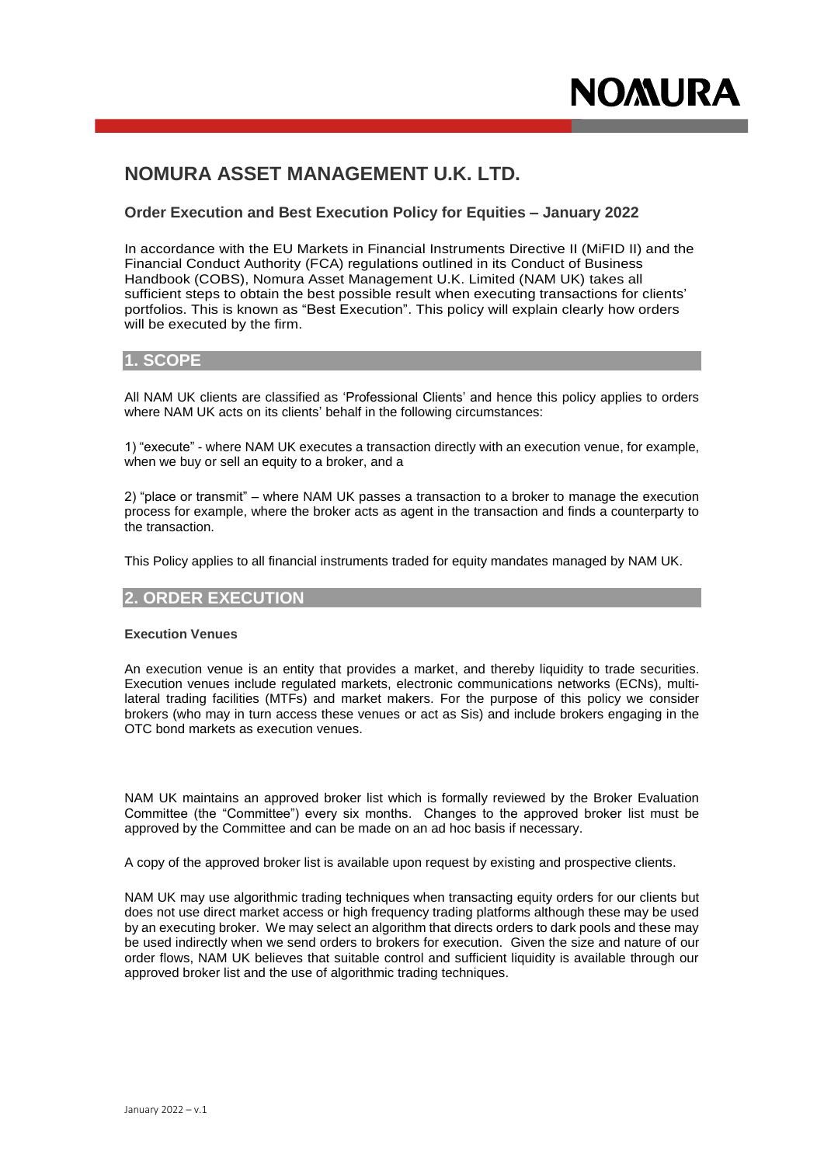# **NOMURA ASSET MANAGEMENT U.K. LTD.**

# **Order Execution and Best Execution Policy for Equities – January 2022**

In accordance with the EU Markets in Financial Instruments Directive II (MiFID II) and the Financial Conduct Authority (FCA) regulations outlined in its Conduct of Business Handbook (COBS), Nomura Asset Management U.K. Limited (NAM UK) takes all sufficient steps to obtain the best possible result when executing transactions for clients' portfolios. This is known as "Best Execution". This policy will explain clearly how orders will be executed by the firm.

# **1. SCOPE**

All NAM UK clients are classified as 'Professional Clients' and hence this policy applies to orders where NAM UK acts on its clients' behalf in the following circumstances:

1) "execute" - where NAM UK executes a transaction directly with an execution venue, for example, when we buy or sell an equity to a broker, and a

2) "place or transmit" – where NAM UK passes a transaction to a broker to manage the execution process for example, where the broker acts as agent in the transaction and finds a counterparty to the transaction.

This Policy applies to all financial instruments traded for equity mandates managed by NAM UK.

# **2. ORDER EXECUTION**

#### **Execution Venues**

An execution venue is an entity that provides a market, and thereby liquidity to trade securities. Execution venues include regulated markets, electronic communications networks (ECNs), multilateral trading facilities (MTFs) and market makers. For the purpose of this policy we consider brokers (who may in turn access these venues or act as Sis) and include brokers engaging in the OTC bond markets as execution venues.

NAM UK maintains an approved broker list which is formally reviewed by the Broker Evaluation Committee (the "Committee") every six months. Changes to the approved broker list must be approved by the Committee and can be made on an ad hoc basis if necessary.

A copy of the approved broker list is available upon request by existing and prospective clients.

NAM UK may use algorithmic trading techniques when transacting equity orders for our clients but does not use direct market access or high frequency trading platforms although these may be used by an executing broker. We may select an algorithm that directs orders to dark pools and these may be used indirectly when we send orders to brokers for execution. Given the size and nature of our order flows, NAM UK believes that suitable control and sufficient liquidity is available through our approved broker list and the use of algorithmic trading techniques.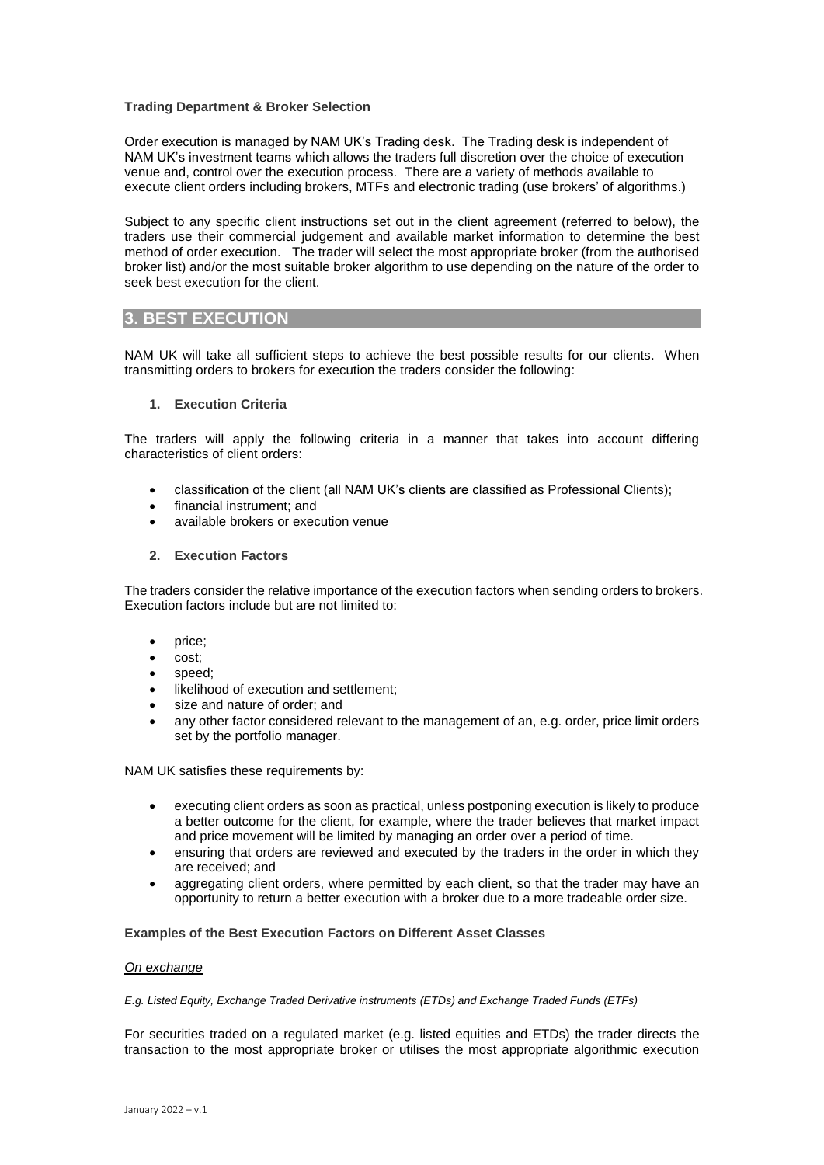### **Trading Department & Broker Selection**

Order execution is managed by NAM UK's Trading desk. The Trading desk is independent of NAM UK's investment teams which allows the traders full discretion over the choice of execution venue and, control over the execution process. There are a variety of methods available to execute client orders including brokers, MTFs and electronic trading (use brokers' of algorithms.)

Subject to any specific client instructions set out in the client agreement (referred to below), the traders use their commercial judgement and available market information to determine the best method of order execution. The trader will select the most appropriate broker (from the authorised broker list) and/or the most suitable broker algorithm to use depending on the nature of the order to seek best execution for the client.

# **3. BEST EXECUTION**

NAM UK will take all sufficient steps to achieve the best possible results for our clients. When transmitting orders to brokers for execution the traders consider the following:

### **1. Execution Criteria**

The traders will apply the following criteria in a manner that takes into account differing characteristics of client orders:

- classification of the client (all NAM UK's clients are classified as Professional Clients);
- financial instrument; and
- available brokers or execution venue

### **2. Execution Factors**

The traders consider the relative importance of the execution factors when sending orders to brokers. Execution factors include but are not limited to:

- price;
- cost;
- speed;
- likelihood of execution and settlement;
- size and nature of order; and
- any other factor considered relevant to the management of an, e.g. order, price limit orders set by the portfolio manager.

NAM UK satisfies these requirements by:

- executing client orders as soon as practical, unless postponing execution is likely to produce a better outcome for the client, for example, where the trader believes that market impact and price movement will be limited by managing an order over a period of time.
- ensuring that orders are reviewed and executed by the traders in the order in which they are received; and
- aggregating client orders, where permitted by each client, so that the trader may have an opportunity to return a better execution with a broker due to a more tradeable order size.

#### **Examples of the Best Execution Factors on Different Asset Classes**

#### *On exchange*

#### *E.g. Listed Equity, Exchange Traded Derivative instruments (ETDs) and Exchange Traded Funds (ETFs)*

For securities traded on a regulated market (e.g. listed equities and ETDs) the trader directs the transaction to the most appropriate broker or utilises the most appropriate algorithmic execution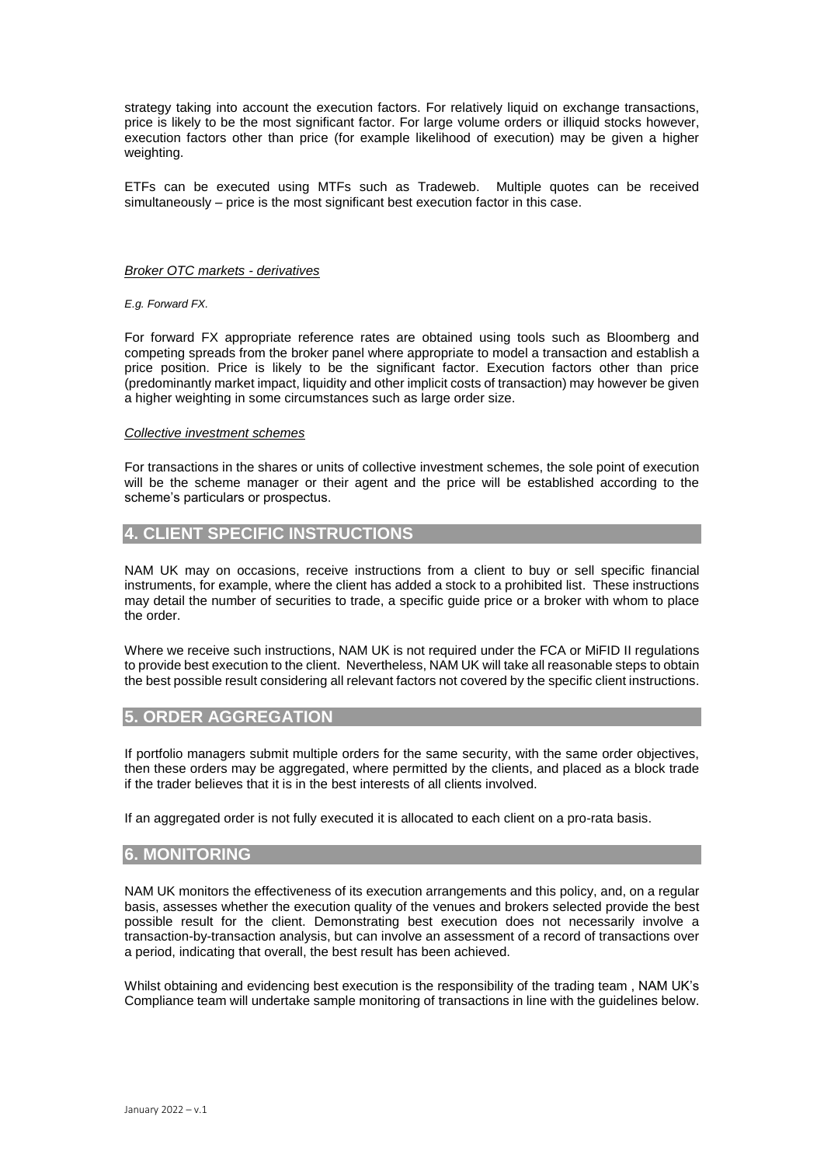strategy taking into account the execution factors. For relatively liquid on exchange transactions, price is likely to be the most significant factor. For large volume orders or illiquid stocks however, execution factors other than price (for example likelihood of execution) may be given a higher weighting.

ETFs can be executed using MTFs such as Tradeweb. Multiple quotes can be received simultaneously – price is the most significant best execution factor in this case.

#### *Broker OTC markets - derivatives*

*E.g. Forward FX.*

For forward FX appropriate reference rates are obtained using tools such as Bloomberg and competing spreads from the broker panel where appropriate to model a transaction and establish a price position. Price is likely to be the significant factor. Execution factors other than price (predominantly market impact, liquidity and other implicit costs of transaction) may however be given a higher weighting in some circumstances such as large order size.

#### *Collective investment schemes*

For transactions in the shares or units of collective investment schemes, the sole point of execution will be the scheme manager or their agent and the price will be established according to the scheme's particulars or prospectus.

# **4. CLIENT SPECIFIC INSTRUCTIONS**

NAM UK may on occasions, receive instructions from a client to buy or sell specific financial instruments, for example, where the client has added a stock to a prohibited list. These instructions may detail the number of securities to trade, a specific guide price or a broker with whom to place the order.

Where we receive such instructions, NAM UK is not required under the FCA or MiFID II regulations to provide best execution to the client. Nevertheless, NAM UK will take all reasonable steps to obtain the best possible result considering all relevant factors not covered by the specific client instructions.

## **5. ORDER AGGREGATION**

If portfolio managers submit multiple orders for the same security, with the same order objectives, then these orders may be aggregated, where permitted by the clients, and placed as a block trade if the trader believes that it is in the best interests of all clients involved.

If an aggregated order is not fully executed it is allocated to each client on a pro-rata basis.

### **6. MONITORING**

NAM UK monitors the effectiveness of its execution arrangements and this policy, and, on a regular basis, assesses whether the execution quality of the venues and brokers selected provide the best possible result for the client. Demonstrating best execution does not necessarily involve a transaction-by-transaction analysis, but can involve an assessment of a record of transactions over a period, indicating that overall, the best result has been achieved.

Whilst obtaining and evidencing best execution is the responsibility of the trading team, NAM UK's Compliance team will undertake sample monitoring of transactions in line with the guidelines below.